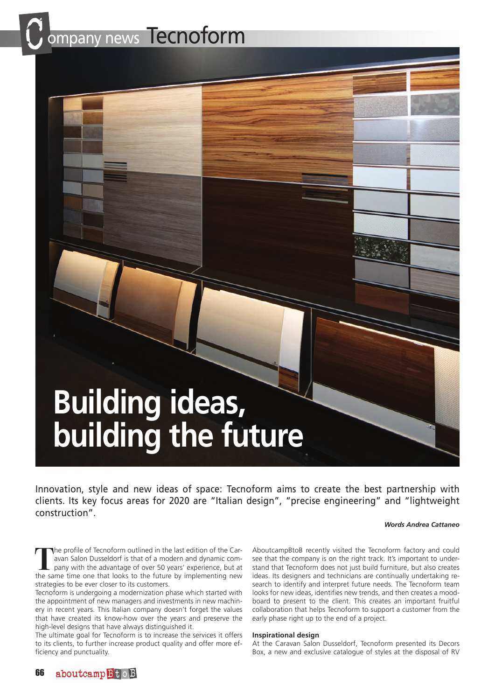ompany news Tecnoform

# **Building ideas, building the future**

Innovation, style and new ideas of space: Tecnoform aims to create the best partnership with clients. Its key focus areas for 2020 are "Italian design", "precise engineering" and "lightweight construction".

### *Words Andrea Cattaneo*

**T**he profile of Tecnoform outlined in the last edition of the Caravan Salon Dusseldorf is that of a modern and dynamic company with the advantage of over 50 years' experience, but at the same time one that looks to the future by implementing new strategies to be ever closer to its customers.

Tecnoform is undergoing a modernization phase which started with the appointment of new managers and investments in new machinery in recent years. This Italian company doesn't forget the values that have created its know-how over the years and preserve the high-level designs that have always distinguished it.

The ultimate goal for Tecnoform is to increase the services it offers to its clients, to further increase product quality and offer more efficiency and punctuality.

AboutcampBtoB recently visited the Tecnoform factory and could see that the company is on the right track. It's important to understand that Tecnoform does not just build furniture, but also creates ideas. Its designers and technicians are continually undertaking research to identify and interpret future needs. The Tecnoform team looks for new ideas, identifies new trends, and then creates a moodboard to present to the client. This creates an important fruitful collaboration that helps Tecnoform to support a customer from the early phase right up to the end of a project.

## **Inspirational design**

At the Caravan Salon Dusseldorf, Tecnoform presented its Decors Box, a new and exclusive catalogue of styles at the disposal of RV